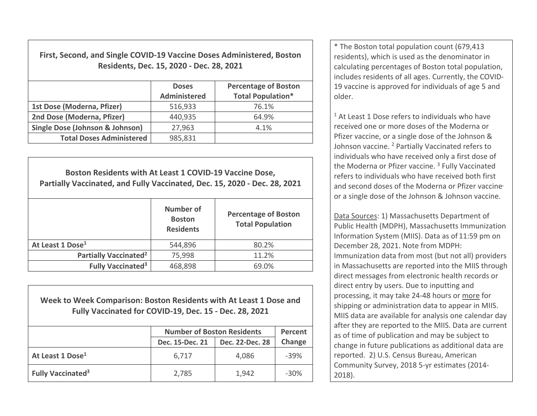**First, Second, and Single COVID‐19 Vaccine Doses Administered, Boston Residents, Dec. 15, 2020 ‐ Dec. 28, 2021**

|                                 | <b>Doses</b><br><b>Administered</b> | <b>Percentage of Boston</b><br><b>Total Population*</b> |  |
|---------------------------------|-------------------------------------|---------------------------------------------------------|--|
| 1st Dose (Moderna, Pfizer)      | 516,933                             | 76.1%                                                   |  |
| 2nd Dose (Moderna, Pfizer)      | 440,935                             | 64.9%                                                   |  |
| Single Dose (Johnson & Johnson) | 27,963                              | 4.1%                                                    |  |
| <b>Total Doses Administered</b> | 985,831                             |                                                         |  |

| Boston Residents with At Least 1 COVID-19 Vaccine Dose,<br>Partially Vaccinated, and Fully Vaccinated, Dec. 15, 2020 - Dec. 28, 2021 |                                                |                                                        |  |  |
|--------------------------------------------------------------------------------------------------------------------------------------|------------------------------------------------|--------------------------------------------------------|--|--|
|                                                                                                                                      | Number of<br><b>Boston</b><br><b>Residents</b> | <b>Percentage of Boston</b><br><b>Total Population</b> |  |  |
| At Least 1 Dose <sup>1</sup>                                                                                                         | 544,896                                        | 80.2%                                                  |  |  |
| <b>Partially Vaccinated<sup>2</sup></b>                                                                                              | 75,998                                         | 11.2%                                                  |  |  |
| <b>Fully Vaccinated<sup>3</sup></b>                                                                                                  | 468,898                                        | 69.0%                                                  |  |  |

**Week to Week Comparison: Boston Residents with At Least 1 Dose andFully Vaccinated for COVID‐19, Dec. 15 ‐ Dec. 28, 2021**

|                                     | <b>Number of Boston Residents</b> |                 | Percent |
|-------------------------------------|-----------------------------------|-----------------|---------|
|                                     | Dec. 15-Dec. 21                   | Dec. 22-Dec. 28 | Change  |
| At Least 1 Dose <sup>1</sup>        | 6,717                             | 4,086           | $-39%$  |
| <b>Fully Vaccinated<sup>3</sup></b> | 2,785                             | 1,942           | $-30\%$ |

\* The Boston total population count (679,413 residents), which is used as the denominator in calculating percentages of Boston total population, includes residents of all ages. Currently, the COVID‐ 19 vaccine is approved for individuals of age 5 andolder.

 $1$  At Least 1 Dose refers to individuals who have received one or more doses of the Moderna or Pfizer vaccine, or <sup>a</sup> single dose of the Johnson & Johnson vaccine. <sup>2</sup> Partially Vaccinated refers to individuals who have received only <sup>a</sup> first dose of the Moderna or Pfizer vaccine. <sup>3</sup> Fully Vaccinated refers to individuals who have received both first and second doses of the Moderna or Pfizer vaccine, or a single dose of the Johnson & Johnson vaccine.

Data Sources: 1) Massachusetts Department of Public Health (MDPH), Massachusetts Immunization Information System (MIIS). Data as of 11:59 pm on December 28, 2021. Note from MDPH: Immunization data from most (but not all) providers in Massachusetts are reported into the MIIS through direct messages from electronic health records or direct entry by users. Due to inputting and processing, it may take 24‐48 hours or more for shipping or administration data to appear in MIIS. MIIS data are available for analysis one calendar day after they are reported to the MIIS. Data are current as of time of publication and may be subject to change in future publications as additional data are reported. 2) U.S. Census Bureau, American Community Survey, 2018 5‐yr estimates (2014‐ 2018).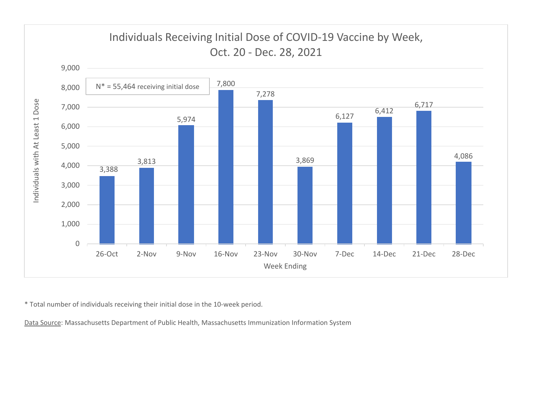

\* Total number of individuals receiving their initial dose in the 10‐week period.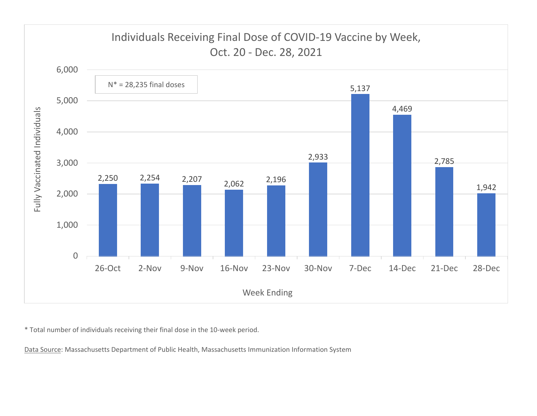

\* Total number of individuals receiving their final dose in the 10‐week period.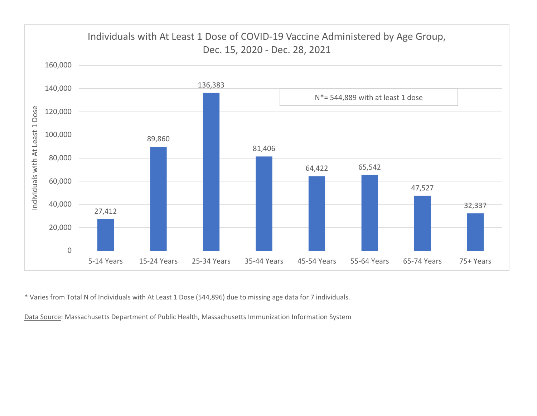

\* Varies from Total N of Individuals with At Least 1 Dose (544,896) due to missing age data for 7 individuals.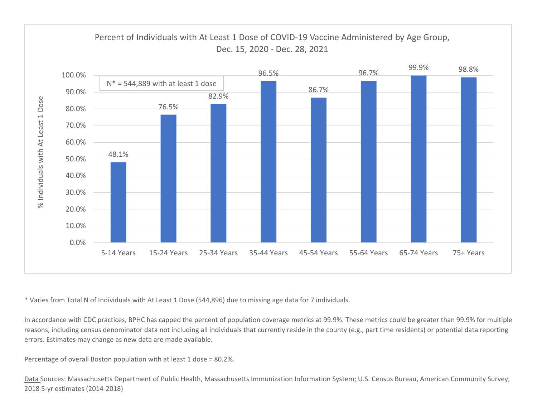

\* Varies from Total N of Individuals with At Least 1 Dose (544,896) due to missing age data for 7 individuals.

In accordance with CDC practices, BPHC has capped the percent of population coverage metrics at 99.9%. These metrics could be greater than 99.9% for multiple reasons, including census denominator data not including all individuals that currently reside in the county (e.g., part time residents) or potential data reporting errors. Estimates may change as new data are made available.

Percentage of overall Boston population with at least 1 dose <sup>=</sup> 80.2%.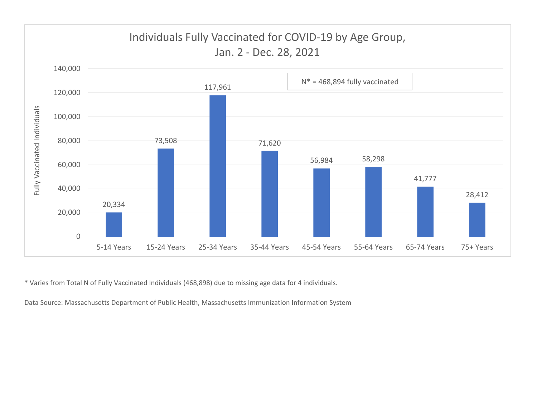

\* Varies from Total N of Fully Vaccinated Individuals (468,898) due to missing age data for 4 individuals.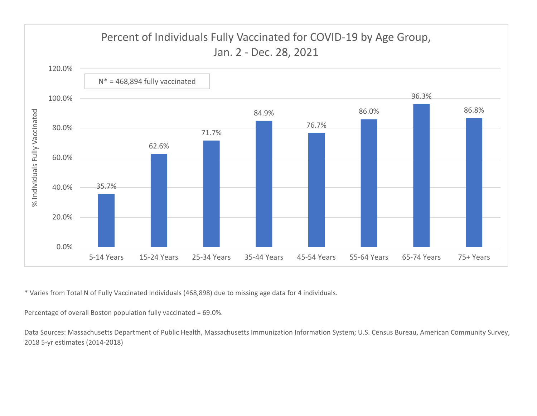

\* Varies from Total N of Fully Vaccinated Individuals (468,898) due to missing age data for 4 individuals.

Percentage of overall Boston population fully vaccinated <sup>=</sup> 69.0%.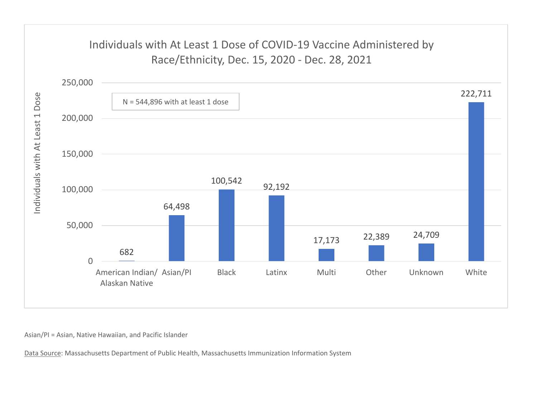## Individuals with At Least 1 Dose of COVID‐19 Vaccine Administered by Race/Ethnicity, Dec. 15, 2020 ‐ Dec. 28, 2021



Asian/PI <sup>=</sup> Asian, Native Hawaiian, and Pacific Islander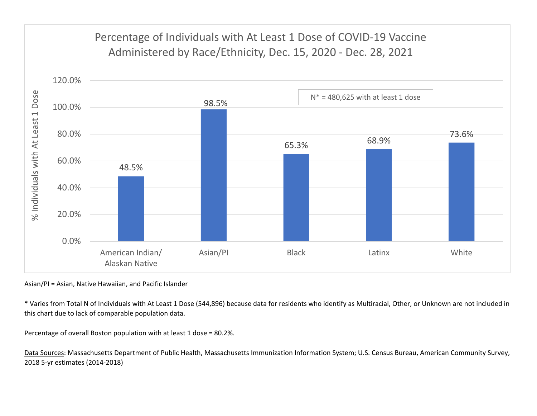# Percentage of Individuals with At Least 1 Dose of COVID‐19 Vaccine Administered by Race/Ethnicity, Dec. 15, 2020 ‐ Dec. 28, 2021



Asian/PI <sup>=</sup> Asian, Native Hawaiian, and Pacific Islander

\* Varies from Total N of Individuals with At Least 1 Dose (544,896) because data for residents who identify as Multiracial, Other, or Unknown are not included in this chart due to lack of comparable population data.

Percentage of overall Boston population with at least 1 dose <sup>=</sup> 80.2%.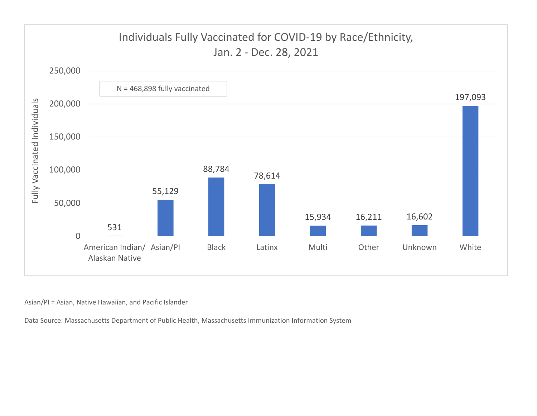

Asian/PI <sup>=</sup> Asian, Native Hawaiian, and Pacific Islander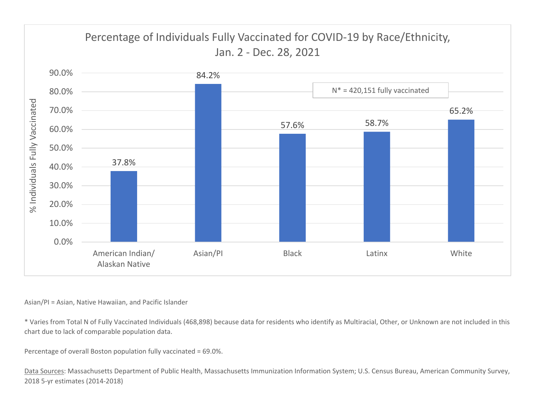

### Asian/PI <sup>=</sup> Asian, Native Hawaiian, and Pacific Islander

\* Varies from Total N of Fully Vaccinated Individuals (468,898) because data for residents who identify as Multiracial, Other, or Unknown are not included in this chart due to lack of comparable population data.

Percentage of overall Boston population fully vaccinated <sup>=</sup> 69.0%.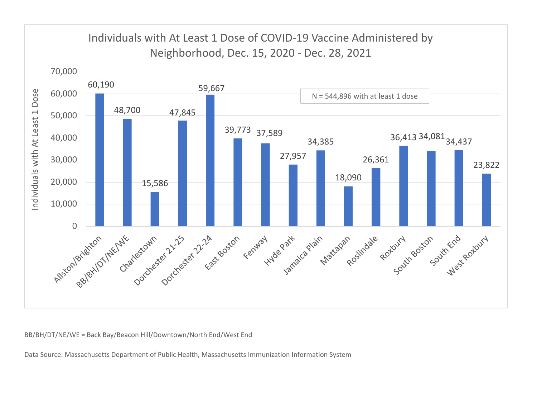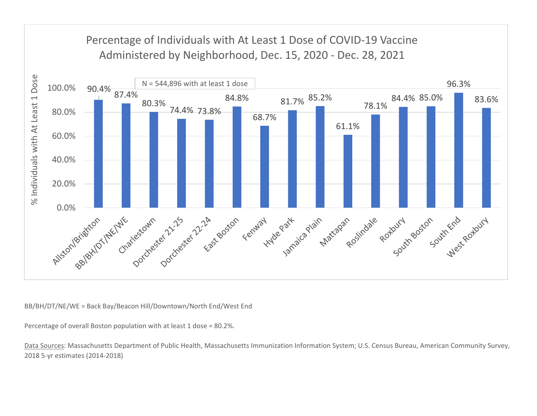

Percentage of overall Boston population with at least 1 dose <sup>=</sup> 80.2%.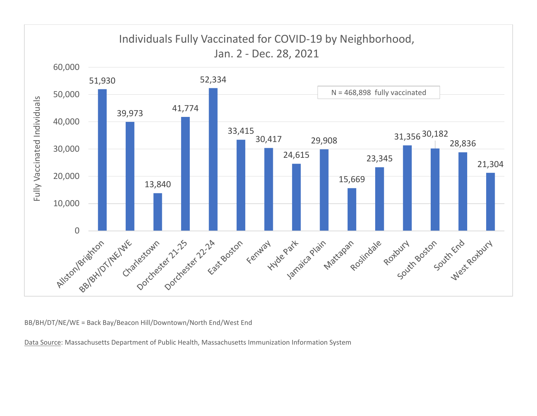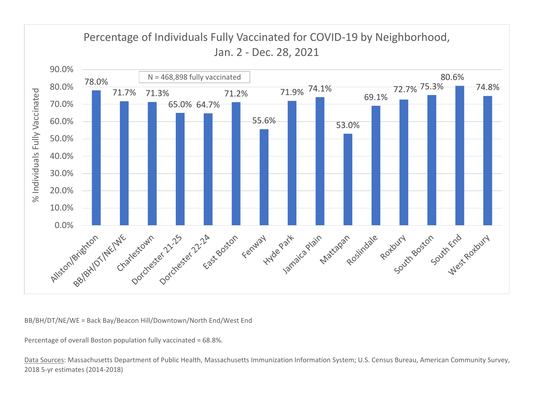

Percentage of overall Boston population fully vaccinated <sup>=</sup> 68.8%.